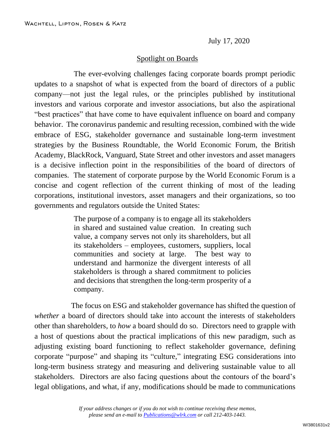July 17, 2020

## Spotlight on Boards

The ever-evolving challenges facing corporate boards prompt periodic updates to a snapshot of what is expected from the board of directors of a public company—not just the legal rules, or the principles published by institutional investors and various corporate and investor associations, but also the aspirational "best practices" that have come to have equivalent influence on board and company behavior. The coronavirus pandemic and resulting recession, combined with the wide embrace of ESG, stakeholder governance and sustainable long-term investment strategies by the Business Roundtable, the World Economic Forum, the British Academy, BlackRock, Vanguard, State Street and other investors and asset managers is a decisive inflection point in the responsibilities of the board of directors of companies. The statement of corporate purpose by the World Economic Forum is a concise and cogent reflection of the current thinking of most of the leading corporations, institutional investors, asset managers and their organizations, so too governments and regulators outside the United States:

> The purpose of a company is to engage all its stakeholders in shared and sustained value creation. In creating such value, a company serves not only its shareholders, but all its stakeholders – employees, customers, suppliers, local communities and society at large. The best way to understand and harmonize the divergent interests of all stakeholders is through a shared commitment to policies and decisions that strengthen the long-term prosperity of a company.

The focus on ESG and stakeholder governance has shifted the question of *whether* a board of directors should take into account the interests of stakeholders other than shareholders, to *how* a board should do so. Directors need to grapple with a host of questions about the practical implications of this new paradigm, such as adjusting existing board functioning to reflect stakeholder governance, defining corporate "purpose" and shaping its "culture," integrating ESG considerations into long-term business strategy and measuring and delivering sustainable value to all stakeholders. Directors are also facing questions about the contours of the board's legal obligations, and what, if any, modifications should be made to communications

> *If your address changes or if you do not wish to continue receiving these memos, please send an e-mail to [Publications@wlrk.com](mailto:Publications@wlrk.com) or call 212-403-1443.*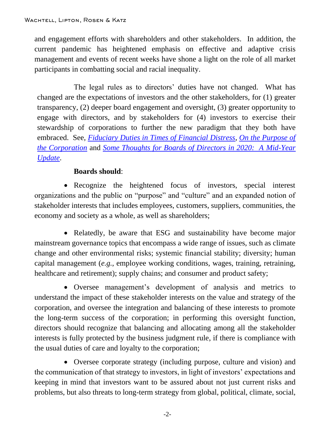and engagement efforts with shareholders and other stakeholders. In addition, the current pandemic has heightened emphasis on effective and adaptive crisis management and events of recent weeks have shone a light on the role of all market participants in combatting social and racial inequality.

The legal rules as to directors' duties have not changed. What has changed are the expectations of investors and the other stakeholders, for (1) greater transparency, (2) deeper board engagement and oversight, (3) greater opportunity to engage with directors, and by stakeholders for (4) investors to exercise their stewardship of corporations to further the new paradigm that they both have embraced. See, *[Fiduciary Duties in Times of Financial Distress](http://www.wlrk.com/webdocs/wlrknew/WLRKMemos/WLRK/WLRK.26891.20.pdf)*, *[On the Purpose of](http://www.wlrk.com/webdocs/wlrknew/WLRKMemos/WLRK/WLRK.26961.20.pdf)  [the Corporation](http://www.wlrk.com/webdocs/wlrknew/WLRKMemos/WLRK/WLRK.26961.20.pdf)* and *[Some Thoughts for Boards of Directors in 2020: A](http://www.wlrk.com/webdocs/wlrknew/WLRKMemos/WLRK/WLRK.27019.20.pdf) Mid-Year [Update](http://www.wlrk.com/webdocs/wlrknew/WLRKMemos/WLRK/WLRK.27019.20.pdf)*.

## **Boards should**:

• Recognize the heightened focus of investors, special interest organizations and the public on "purpose" and "culture" and an expanded notion of stakeholder interests that includes employees, customers, suppliers, communities, the economy and society as a whole, as well as shareholders;

• Relatedly, be aware that ESG and sustainability have become major mainstream governance topics that encompass a wide range of issues, such as climate change and other environmental risks; systemic financial stability; diversity; human capital management (*e.g.*, employee working conditions, wages, training, retraining, healthcare and retirement); supply chains; and consumer and product safety;

 Oversee management's development of analysis and metrics to understand the impact of these stakeholder interests on the value and strategy of the corporation, and oversee the integration and balancing of these interests to promote the long-term success of the corporation; in performing this oversight function, directors should recognize that balancing and allocating among all the stakeholder interests is fully protected by the business judgment rule, if there is compliance with the usual duties of care and loyalty to the corporation;

 Oversee corporate strategy (including purpose, culture and vision) and the communication of that strategy to investors, in light of investors' expectations and keeping in mind that investors want to be assured about not just current risks and problems, but also threats to long-term strategy from global, political, climate, social,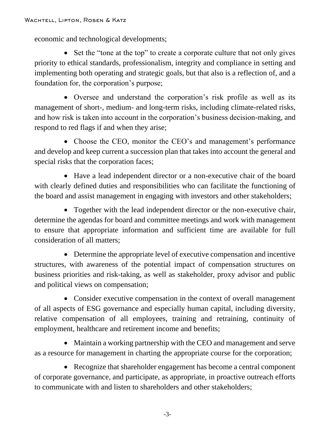economic and technological developments;

• Set the "tone at the top" to create a corporate culture that not only gives priority to ethical standards, professionalism, integrity and compliance in setting and implementing both operating and strategic goals, but that also is a reflection of, and a foundation for, the corporation's purpose;

 Oversee and understand the corporation's risk profile as well as its management of short-, medium- and long-term risks, including climate-related risks, and how risk is taken into account in the corporation's business decision-making, and respond to red flags if and when they arise;

• Choose the CEO, monitor the CEO's and management's performance and develop and keep current a succession plan that takes into account the general and special risks that the corporation faces;

 Have a lead independent director or a non-executive chair of the board with clearly defined duties and responsibilities who can facilitate the functioning of the board and assist management in engaging with investors and other stakeholders;

• Together with the lead independent director or the non-executive chair, determine the agendas for board and committee meetings and work with management to ensure that appropriate information and sufficient time are available for full consideration of all matters;

 Determine the appropriate level of executive compensation and incentive structures, with awareness of the potential impact of compensation structures on business priorities and risk-taking, as well as stakeholder, proxy advisor and public and political views on compensation;

• Consider executive compensation in the context of overall management of all aspects of ESG governance and especially human capital, including diversity, relative compensation of all employees, training and retraining, continuity of employment, healthcare and retirement income and benefits;

 Maintain a working partnership with the CEO and management and serve as a resource for management in charting the appropriate course for the corporation;

• Recognize that shareholder engagement has become a central component of corporate governance, and participate, as appropriate, in proactive outreach efforts to communicate with and listen to shareholders and other stakeholders;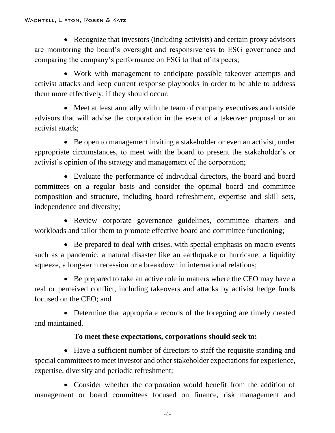• Recognize that investors (including activists) and certain proxy advisors are monitoring the board's oversight and responsiveness to ESG governance and comparing the company's performance on ESG to that of its peers;

 Work with management to anticipate possible takeover attempts and activist attacks and keep current response playbooks in order to be able to address them more effectively, if they should occur;

• Meet at least annually with the team of company executives and outside advisors that will advise the corporation in the event of a takeover proposal or an activist attack;

• Be open to management inviting a stakeholder or even an activist, under appropriate circumstances, to meet with the board to present the stakeholder's or activist's opinion of the strategy and management of the corporation;

 Evaluate the performance of individual directors, the board and board committees on a regular basis and consider the optimal board and committee composition and structure, including board refreshment, expertise and skill sets, independence and diversity;

• Review corporate governance guidelines, committee charters and workloads and tailor them to promote effective board and committee functioning;

 Be prepared to deal with crises, with special emphasis on macro events such as a pandemic, a natural disaster like an earthquake or hurricane, a liquidity squeeze, a long-term recession or a breakdown in international relations;

• Be prepared to take an active role in matters where the CEO may have a real or perceived conflict, including takeovers and attacks by activist hedge funds focused on the CEO; and

• Determine that appropriate records of the foregoing are timely created and maintained.

## **To meet these expectations, corporations should seek to:**

 Have a sufficient number of directors to staff the requisite standing and special committees to meet investor and other stakeholder expectations for experience, expertise, diversity and periodic refreshment;

 Consider whether the corporation would benefit from the addition of management or board committees focused on finance, risk management and